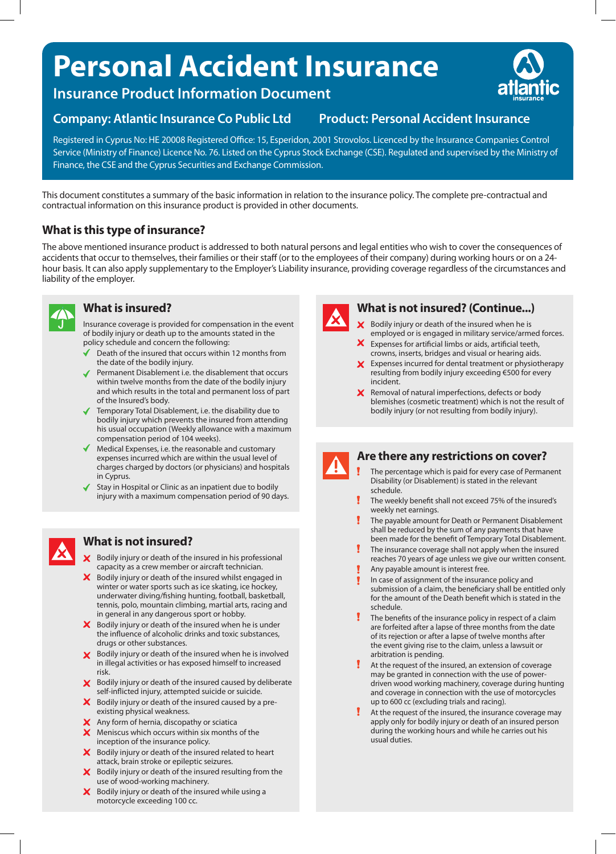# **Personal Accident Insurance**

**Insurance Product Information Document**

### **Company: Atlantic Insurance Co Public Ltd Product: Personal Accident Insurance**

Registered in Cyprus No: HE 20008 Registered Office: 15, Esperidon, 2001 Strovolos. Licenced by the Insurance Companies Control Service (Ministry of Finance) Licence No. 76. Listed on the Cyprus Stock Exchange (CSE). Regulated and supervised by the Ministry of Finance, the CSE and the Cyprus Securities and Exchange Commission.

This document constitutes a summary of the basic information in relation to the insurance policy. The complete pre-contractual and contractual information on this insurance product is provided in other documents.

### **What is this type of insurance?**

The above mentioned insurance product is addressed to both natural persons and legal entities who wish to cover the consequences of accidents that occur to themselves, their families or their staff (or to the employees of their company) during working hours or on a 24 hour basis. It can also apply supplementary to the Employer's Liability insurance, providing coverage regardless of the circumstances and liability of the employer.



#### **What is insured?**

Insurance coverage is provided for compensation in the event of bodily injury or death up to the amounts stated in the policy schedule and concern the following:

- Death of the insured that occurs within 12 months from the date of the bodily injury.
- Permanent Disablement i.e. the disablement that occurs within twelve months from the date of the bodily injury and which results in the total and permanent loss of part of the Insured's body.
- Temporary Total Disablement, i.e. the disability due to bodily injury which prevents the insured from attending his usual occupation (Weekly allowance with a maximum compensation period of 104 weeks).
- Medical Expenses, i.e. the reasonable and customary expenses incurred which are within the usual level of charges charged by doctors (or physicians) and hospitals in Cyprus.
- Stay in Hospital or Clinic as an inpatient due to bodily injury with a maximum compensation period of 90 days.

## **What is not insured?**

- $\times$  Bodily injury or death of the insured in his professional capacity as a crew member or aircraft technician.
- X Bodily injury or death of the insured whilst engaged in winter or water sports such as ice skating, ice hockey, underwater diving/fishing hunting, football, basketball, tennis, polo, mountain climbing, martial arts, racing and in general in any dangerous sport or hobby.
- $\boldsymbol{\times}$  Bodily injury or death of the insured when he is under the influence of alcoholic drinks and toxic substances, drugs or other substances.
- **X** Bodily injury or death of the insured when he is involved in illegal activities or has exposed himself to increased risk.
- **X** Bodily injury or death of the insured caused by deliberate self-inflicted injury, attempted suicide or suicide.
- $\boldsymbol{\times}$  Bodily injury or death of the insured caused by a preexisting physical weakness.
- $\boldsymbol{\times}$  Any form of hernia, discopathy or sciatica
- Meniscus which occurs within six months of the inception of the insurance policy.
- $\boldsymbol{\times}$  Bodily injury or death of the insured related to heart attack, brain stroke or epileptic seizures.
- $\boldsymbol{\times}$  Bodily injury or death of the insured resulting from the use of wood-working machinery.
- $\boldsymbol{\times}$  Bodily injury or death of the insured while using a motorcycle exceeding 100 cc.



#### **What is not insured? (Continue...)**

- $\times$  Bodily injury or death of the insured when he is employed or is engaged in military service/armed forces.
- $\mathsf{x}$ Expenses for artificial limbs or aids, artificial teeth, crowns, inserts, bridges and visual or hearing aids.
- $\times$  Expenses incurred for dental treatment or physiotherapy resulting from bodily injury exceeding €500 for every incident.
- $\boldsymbol{\times}$  Removal of natural imperfections, defects or body blemishes (cosmetic treatment) which is not the result of bodily injury (or not resulting from bodily injury).

#### **Are there any restrictions on cover?**

- The percentage which is paid for every case of Permanent Disability (or Disablement) is stated in the relevant schedule.
- I The weekly benefit shall not exceed 75% of the insured's weekly net earnings.
- The payable amount for Death or Permanent Disablement shall be reduced by the sum of any payments that have been made for the benefit of Temporary Total Disablement.
- The insurance coverage shall not apply when the insured reaches 70 years of age unless we give our written consent.
- Any payable amount is interest free.
- In case of assignment of the insurance policy and submission of a claim, the beneficiary shall be entitled only for the amount of the Death benefit which is stated in the schedule.
- The benefits of the insurance policy in respect of a claim are forfeited after a lapse of three months from the date of its rejection or after a lapse of twelve months after the event giving rise to the claim, unless a lawsuit or arbitration is pending.
- At the request of the insured, an extension of coverage may be granted in connection with the use of powerdriven wood working machinery, coverage during hunting and coverage in connection with the use of motorcycles up to 600 cc (excluding trials and racing).
- At the request of the insured, the insurance coverage may apply only for bodily injury or death of an insured person during the working hours and while he carries out his usual duties.